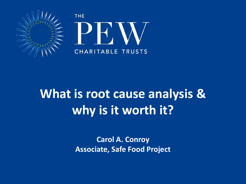

# **What is root cause analysis & why is it worth it?**

**Carol A. Conroy Associate, Safe Food Project**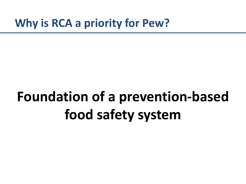**Why is RCA a priority for Pew?**

# **Foundation of a prevention-based food safety system**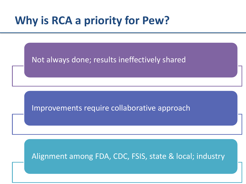#### **Why is RCA a priority for Pew?**

Not always done; results ineffectively shared

#### Improvements require collaborative approach

#### Alignment among FDA, CDC, FSIS, state & local; industry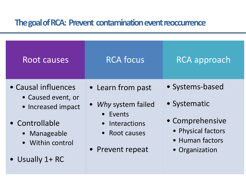#### **The goal of RCA: Prevent contamination event reoccurrence**

| Root causes                                                                                                                              | <b>RCA focus</b>                                                                                            | <b>RCA</b> approach                                                                                           |
|------------------------------------------------------------------------------------------------------------------------------------------|-------------------------------------------------------------------------------------------------------------|---------------------------------------------------------------------------------------------------------------|
| • Causal influences<br>• Caused event, or<br>• Increased impact<br>• Controllable<br>• Manageable<br>• Within control<br>• Usually 1+ RC | • Learn from past<br>• Why system failed<br>• Events<br>• Interactions<br>• Root causes<br>• Prevent repeat | • Systems-based<br>• Systematic<br>• Comprehensive<br>• Physical factors<br>• Human factors<br>• Organization |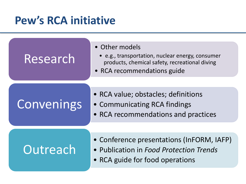#### **Pew's RCA initiative**

#### Research

- Other models
	- e.g., transportation, nuclear energy, consumer products, chemical safety, recreational diving
- RCA recommendations guide

### Convenings

- RCA value; obstacles; definitions
- Communicating RCA findings
- RCA recommendations and practices

### **Outreach**

- Conference presentations (InFORM, IAFP)
- Publication in *Food Protection Trends*
- RCA guide for food operations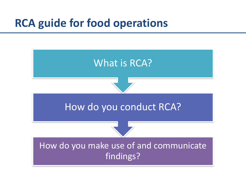### **RCA guide for food operations**